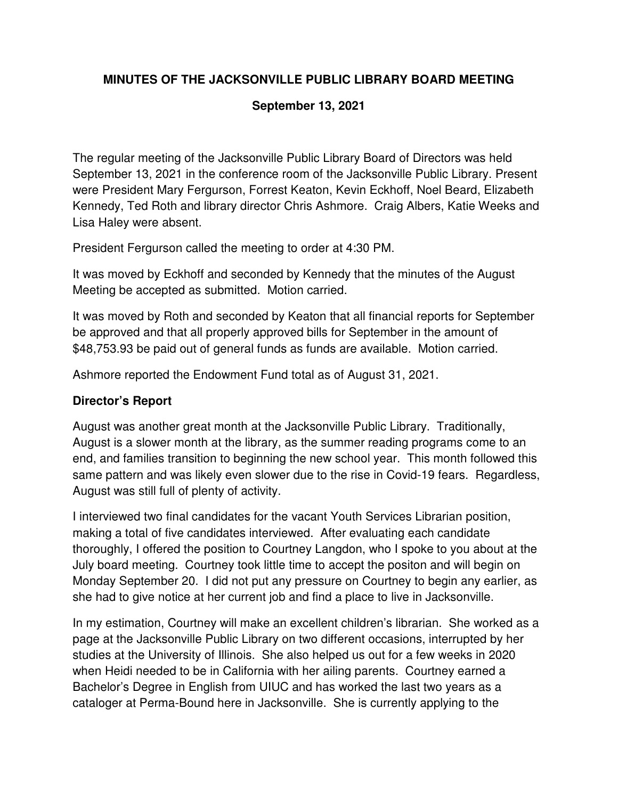# **MINUTES OF THE JACKSONVILLE PUBLIC LIBRARY BOARD MEETING**

#### **September 13, 2021**

The regular meeting of the Jacksonville Public Library Board of Directors was held September 13, 2021 in the conference room of the Jacksonville Public Library. Present were President Mary Fergurson, Forrest Keaton, Kevin Eckhoff, Noel Beard, Elizabeth Kennedy, Ted Roth and library director Chris Ashmore. Craig Albers, Katie Weeks and Lisa Haley were absent.

President Fergurson called the meeting to order at 4:30 PM.

It was moved by Eckhoff and seconded by Kennedy that the minutes of the August Meeting be accepted as submitted. Motion carried.

It was moved by Roth and seconded by Keaton that all financial reports for September be approved and that all properly approved bills for September in the amount of \$48,753.93 be paid out of general funds as funds are available. Motion carried.

Ashmore reported the Endowment Fund total as of August 31, 2021.

### **Director's Report**

August was another great month at the Jacksonville Public Library. Traditionally, August is a slower month at the library, as the summer reading programs come to an end, and families transition to beginning the new school year. This month followed this same pattern and was likely even slower due to the rise in Covid-19 fears. Regardless, August was still full of plenty of activity.

I interviewed two final candidates for the vacant Youth Services Librarian position, making a total of five candidates interviewed. After evaluating each candidate thoroughly, I offered the position to Courtney Langdon, who I spoke to you about at the July board meeting. Courtney took little time to accept the positon and will begin on Monday September 20. I did not put any pressure on Courtney to begin any earlier, as she had to give notice at her current job and find a place to live in Jacksonville.

In my estimation, Courtney will make an excellent children's librarian. She worked as a page at the Jacksonville Public Library on two different occasions, interrupted by her studies at the University of Illinois. She also helped us out for a few weeks in 2020 when Heidi needed to be in California with her ailing parents. Courtney earned a Bachelor's Degree in English from UIUC and has worked the last two years as a cataloger at Perma-Bound here in Jacksonville. She is currently applying to the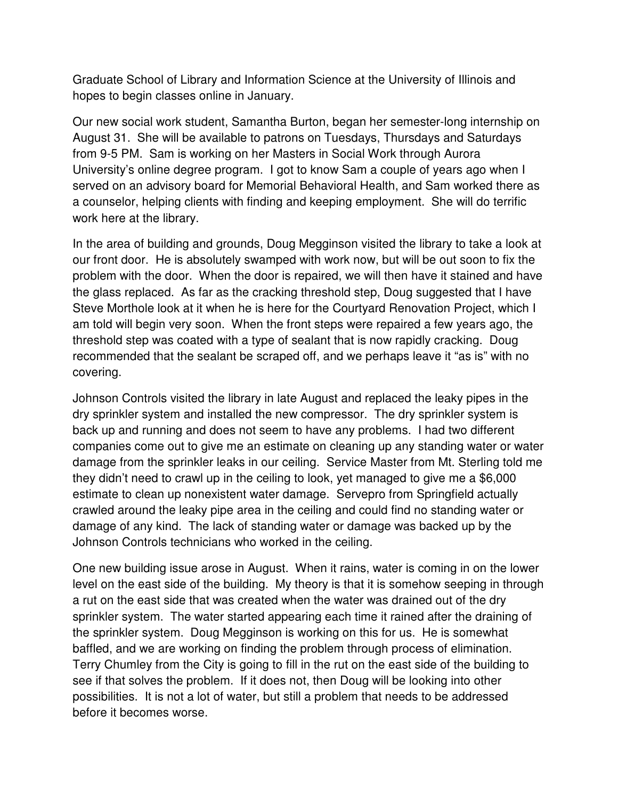Graduate School of Library and Information Science at the University of Illinois and hopes to begin classes online in January.

Our new social work student, Samantha Burton, began her semester-long internship on August 31. She will be available to patrons on Tuesdays, Thursdays and Saturdays from 9-5 PM. Sam is working on her Masters in Social Work through Aurora University's online degree program. I got to know Sam a couple of years ago when I served on an advisory board for Memorial Behavioral Health, and Sam worked there as a counselor, helping clients with finding and keeping employment. She will do terrific work here at the library.

In the area of building and grounds, Doug Megginson visited the library to take a look at our front door. He is absolutely swamped with work now, but will be out soon to fix the problem with the door. When the door is repaired, we will then have it stained and have the glass replaced. As far as the cracking threshold step, Doug suggested that I have Steve Morthole look at it when he is here for the Courtyard Renovation Project, which I am told will begin very soon. When the front steps were repaired a few years ago, the threshold step was coated with a type of sealant that is now rapidly cracking. Doug recommended that the sealant be scraped off, and we perhaps leave it "as is" with no covering.

Johnson Controls visited the library in late August and replaced the leaky pipes in the dry sprinkler system and installed the new compressor. The dry sprinkler system is back up and running and does not seem to have any problems. I had two different companies come out to give me an estimate on cleaning up any standing water or water damage from the sprinkler leaks in our ceiling. Service Master from Mt. Sterling told me they didn't need to crawl up in the ceiling to look, yet managed to give me a \$6,000 estimate to clean up nonexistent water damage. Servepro from Springfield actually crawled around the leaky pipe area in the ceiling and could find no standing water or damage of any kind. The lack of standing water or damage was backed up by the Johnson Controls technicians who worked in the ceiling.

One new building issue arose in August. When it rains, water is coming in on the lower level on the east side of the building. My theory is that it is somehow seeping in through a rut on the east side that was created when the water was drained out of the dry sprinkler system. The water started appearing each time it rained after the draining of the sprinkler system. Doug Megginson is working on this for us. He is somewhat baffled, and we are working on finding the problem through process of elimination. Terry Chumley from the City is going to fill in the rut on the east side of the building to see if that solves the problem. If it does not, then Doug will be looking into other possibilities. It is not a lot of water, but still a problem that needs to be addressed before it becomes worse.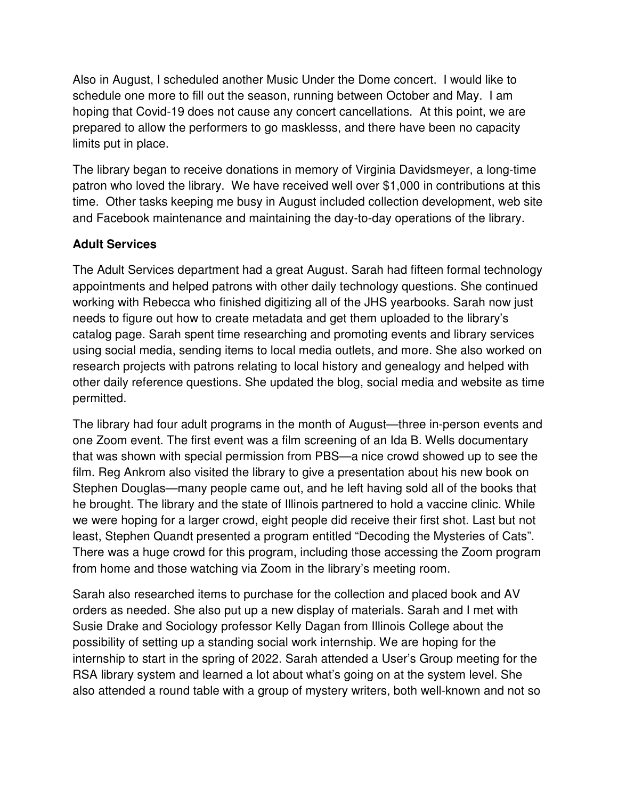Also in August, I scheduled another Music Under the Dome concert. I would like to schedule one more to fill out the season, running between October and May. I am hoping that Covid-19 does not cause any concert cancellations. At this point, we are prepared to allow the performers to go masklesss, and there have been no capacity limits put in place.

The library began to receive donations in memory of Virginia Davidsmeyer, a long-time patron who loved the library. We have received well over \$1,000 in contributions at this time. Other tasks keeping me busy in August included collection development, web site and Facebook maintenance and maintaining the day-to-day operations of the library.

# **Adult Services**

The Adult Services department had a great August. Sarah had fifteen formal technology appointments and helped patrons with other daily technology questions. She continued working with Rebecca who finished digitizing all of the JHS yearbooks. Sarah now just needs to figure out how to create metadata and get them uploaded to the library's catalog page. Sarah spent time researching and promoting events and library services using social media, sending items to local media outlets, and more. She also worked on research projects with patrons relating to local history and genealogy and helped with other daily reference questions. She updated the blog, social media and website as time permitted.

The library had four adult programs in the month of August—three in-person events and one Zoom event. The first event was a film screening of an Ida B. Wells documentary that was shown with special permission from PBS—a nice crowd showed up to see the film. Reg Ankrom also visited the library to give a presentation about his new book on Stephen Douglas—many people came out, and he left having sold all of the books that he brought. The library and the state of Illinois partnered to hold a vaccine clinic. While we were hoping for a larger crowd, eight people did receive their first shot. Last but not least, Stephen Quandt presented a program entitled "Decoding the Mysteries of Cats". There was a huge crowd for this program, including those accessing the Zoom program from home and those watching via Zoom in the library's meeting room.

Sarah also researched items to purchase for the collection and placed book and AV orders as needed. She also put up a new display of materials. Sarah and I met with Susie Drake and Sociology professor Kelly Dagan from Illinois College about the possibility of setting up a standing social work internship. We are hoping for the internship to start in the spring of 2022. Sarah attended a User's Group meeting for the RSA library system and learned a lot about what's going on at the system level. She also attended a round table with a group of mystery writers, both well-known and not so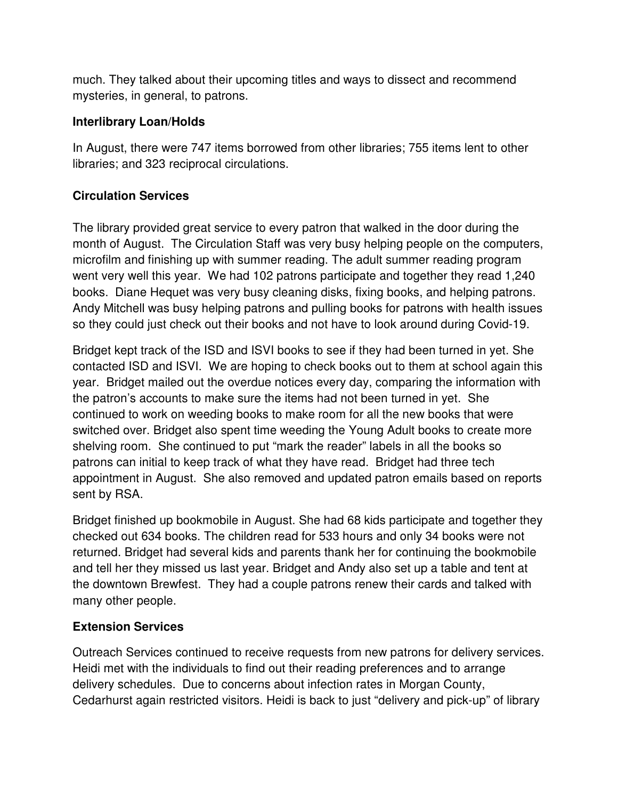much. They talked about their upcoming titles and ways to dissect and recommend mysteries, in general, to patrons.

### **Interlibrary Loan/Holds**

In August, there were 747 items borrowed from other libraries; 755 items lent to other libraries; and 323 reciprocal circulations.

# **Circulation Services**

The library provided great service to every patron that walked in the door during the month of August. The Circulation Staff was very busy helping people on the computers, microfilm and finishing up with summer reading. The adult summer reading program went very well this year. We had 102 patrons participate and together they read 1,240 books. Diane Hequet was very busy cleaning disks, fixing books, and helping patrons. Andy Mitchell was busy helping patrons and pulling books for patrons with health issues so they could just check out their books and not have to look around during Covid-19.

Bridget kept track of the ISD and ISVI books to see if they had been turned in yet. She contacted ISD and ISVI. We are hoping to check books out to them at school again this year. Bridget mailed out the overdue notices every day, comparing the information with the patron's accounts to make sure the items had not been turned in yet. She continued to work on weeding books to make room for all the new books that were switched over. Bridget also spent time weeding the Young Adult books to create more shelving room. She continued to put "mark the reader" labels in all the books so patrons can initial to keep track of what they have read. Bridget had three tech appointment in August. She also removed and updated patron emails based on reports sent by RSA.

Bridget finished up bookmobile in August. She had 68 kids participate and together they checked out 634 books. The children read for 533 hours and only 34 books were not returned. Bridget had several kids and parents thank her for continuing the bookmobile and tell her they missed us last year. Bridget and Andy also set up a table and tent at the downtown Brewfest. They had a couple patrons renew their cards and talked with many other people.

# **Extension Services**

Outreach Services continued to receive requests from new patrons for delivery services. Heidi met with the individuals to find out their reading preferences and to arrange delivery schedules. Due to concerns about infection rates in Morgan County, Cedarhurst again restricted visitors. Heidi is back to just "delivery and pick-up" of library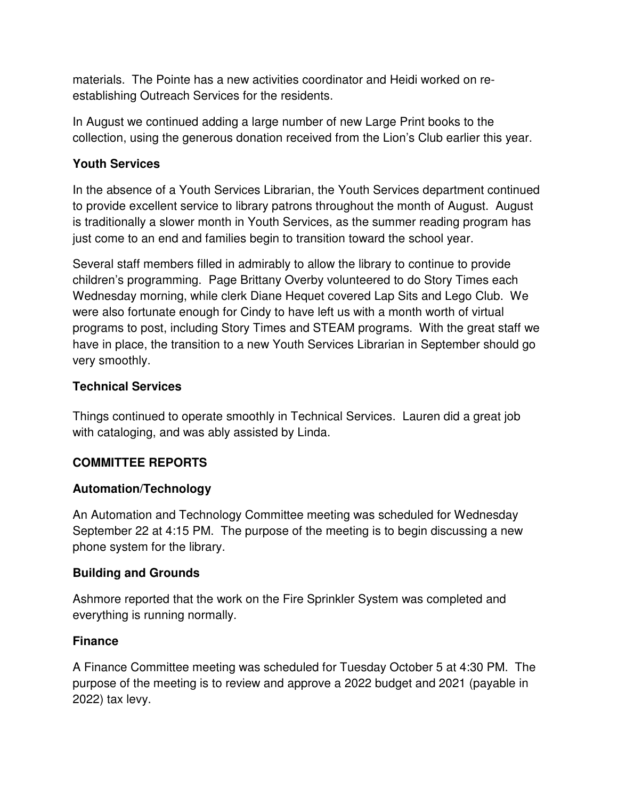materials. The Pointe has a new activities coordinator and Heidi worked on reestablishing Outreach Services for the residents.

In August we continued adding a large number of new Large Print books to the collection, using the generous donation received from the Lion's Club earlier this year.

### **Youth Services**

In the absence of a Youth Services Librarian, the Youth Services department continued to provide excellent service to library patrons throughout the month of August. August is traditionally a slower month in Youth Services, as the summer reading program has just come to an end and families begin to transition toward the school year.

Several staff members filled in admirably to allow the library to continue to provide children's programming. Page Brittany Overby volunteered to do Story Times each Wednesday morning, while clerk Diane Hequet covered Lap Sits and Lego Club. We were also fortunate enough for Cindy to have left us with a month worth of virtual programs to post, including Story Times and STEAM programs. With the great staff we have in place, the transition to a new Youth Services Librarian in September should go very smoothly.

### **Technical Services**

Things continued to operate smoothly in Technical Services. Lauren did a great job with cataloging, and was ably assisted by Linda.

# **COMMITTEE REPORTS**

# **Automation/Technology**

An Automation and Technology Committee meeting was scheduled for Wednesday September 22 at 4:15 PM. The purpose of the meeting is to begin discussing a new phone system for the library.

#### **Building and Grounds**

Ashmore reported that the work on the Fire Sprinkler System was completed and everything is running normally.

#### **Finance**

A Finance Committee meeting was scheduled for Tuesday October 5 at 4:30 PM. The purpose of the meeting is to review and approve a 2022 budget and 2021 (payable in 2022) tax levy.